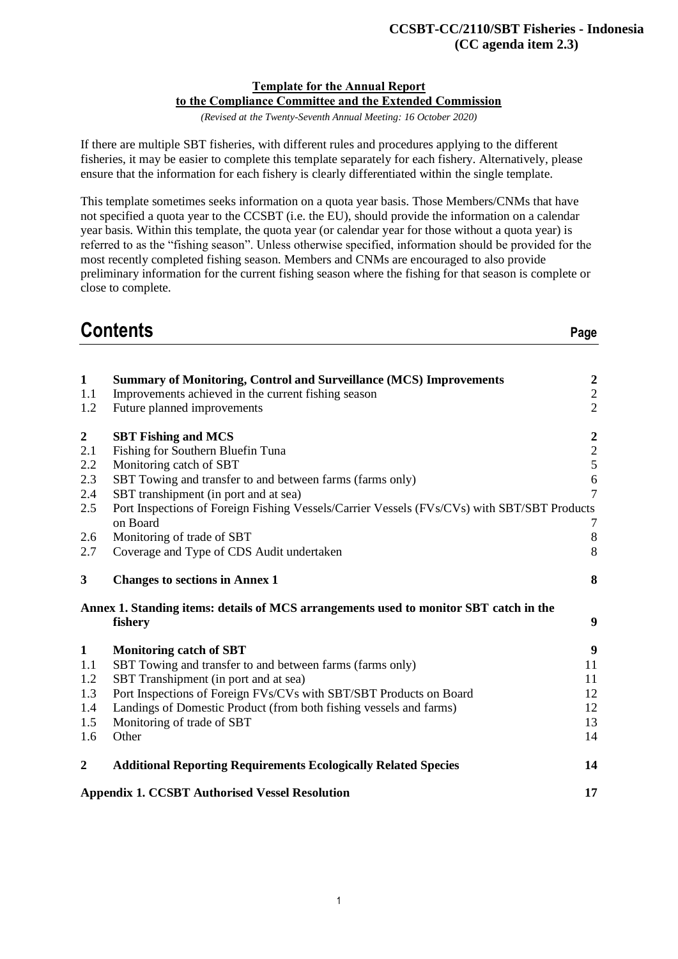#### **Template for the Annual Report to the Compliance Committee and the Extended Commission**

*(Revised at the Twenty-Seventh Annual Meeting: 16 October 2020)*

If there are multiple SBT fisheries, with different rules and procedures applying to the different fisheries, it may be easier to complete this template separately for each fishery. Alternatively, please ensure that the information for each fishery is clearly differentiated within the single template.

This template sometimes seeks information on a quota year basis. Those Members/CNMs that have not specified a quota year to the CCSBT (i.e. the EU), should provide the information on a calendar year basis. Within this template, the quota year (or calendar year for those without a quota year) is referred to as the "fishing season". Unless otherwise specified, information should be provided for the most recently completed fishing season. Members and CNMs are encouraged to also provide preliminary information for the current fishing season where the fishing for that season is complete or close to complete.

# **Contents Page**

| $\mathbf{1}$     | <b>Summary of Monitoring, Control and Surveillance (MCS) Improvements</b>                   | $\boldsymbol{2}$                           |
|------------------|---------------------------------------------------------------------------------------------|--------------------------------------------|
| 1.1              | Improvements achieved in the current fishing season                                         | $\frac{2}{2}$                              |
| 1.2              | Future planned improvements                                                                 |                                            |
| $\boldsymbol{2}$ | <b>SBT Fishing and MCS</b>                                                                  |                                            |
| 2.1              | Fishing for Southern Bluefin Tuna                                                           |                                            |
| 2.2              | Monitoring catch of SBT                                                                     | $\begin{array}{c} 2 \\ 2 \\ 5 \end{array}$ |
| 2.3              | SBT Towing and transfer to and between farms (farms only)                                   | $\sqrt{6}$                                 |
| 2.4              | SBT transhipment (in port and at sea)                                                       | $\overline{7}$                             |
| 2.5              | Port Inspections of Foreign Fishing Vessels/Carrier Vessels (FVs/CVs) with SBT/SBT Products |                                            |
|                  | on Board                                                                                    | 7                                          |
| 2.6              | Monitoring of trade of SBT                                                                  | $\,8\,$                                    |
| 2.7              | Coverage and Type of CDS Audit undertaken                                                   | 8                                          |
| 3                | <b>Changes to sections in Annex 1</b>                                                       | 8                                          |
|                  | Annex 1. Standing items: details of MCS arrangements used to monitor SBT catch in the       |                                            |
|                  | fishery                                                                                     | $\boldsymbol{9}$                           |
| $\mathbf{1}$     | <b>Monitoring catch of SBT</b>                                                              | 9                                          |
| 1.1              | SBT Towing and transfer to and between farms (farms only)                                   | 11                                         |
| 1.2              | SBT Transhipment (in port and at sea)                                                       | 11                                         |
| 1.3              | Port Inspections of Foreign FVs/CVs with SBT/SBT Products on Board                          | 12                                         |
| 1.4              | Landings of Domestic Product (from both fishing vessels and farms)                          | 12                                         |
| 1.5              | Monitoring of trade of SBT                                                                  | 13                                         |
| 1.6              | Other                                                                                       | 14                                         |
| $\boldsymbol{2}$ | <b>Additional Reporting Requirements Ecologically Related Species</b>                       | 14                                         |
|                  | <b>Appendix 1. CCSBT Authorised Vessel Resolution</b>                                       | 17                                         |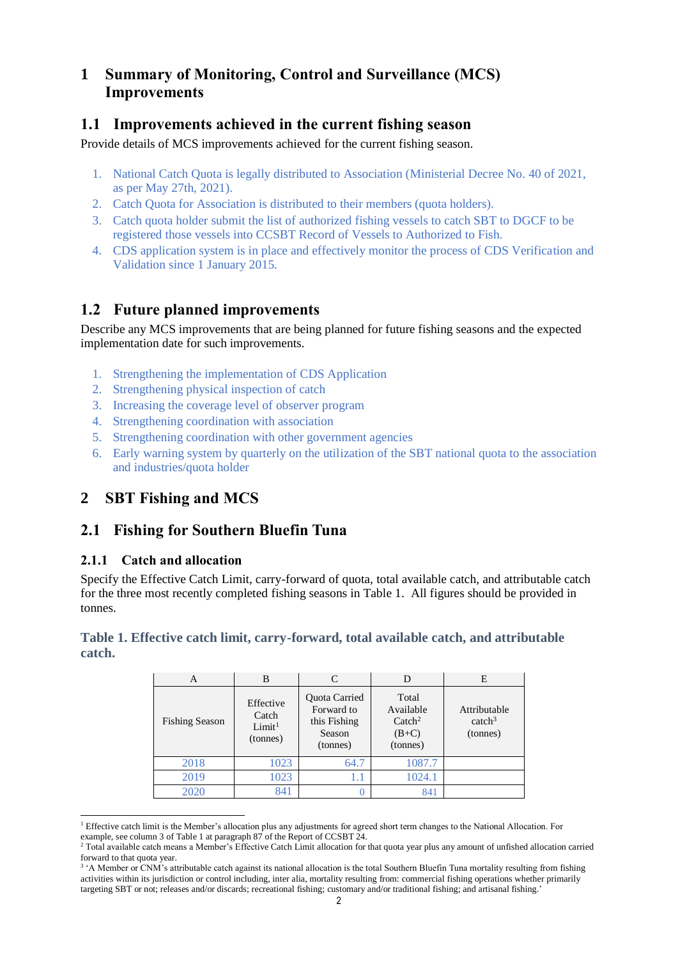# **1 Summary of Monitoring, Control and Surveillance (MCS) Improvements**

### **1.1 Improvements achieved in the current fishing season**

Provide details of MCS improvements achieved for the current fishing season.

- 1. National Catch Quota is legally distributed to Association (Ministerial Decree No. 40 of 2021, as per May 27th, 2021).
- 2. Catch Quota for Association is distributed to their members (quota holders).
- 3. Catch quota holder submit the list of authorized fishing vessels to catch SBT to DGCF to be registered those vessels into CCSBT Record of Vessels to Authorized to Fish.
- 4. CDS application system is in place and effectively monitor the process of CDS Verification and Validation since 1 January 2015.

# **1.2 Future planned improvements**

Describe any MCS improvements that are being planned for future fishing seasons and the expected implementation date for such improvements.

- 1. Strengthening the implementation of CDS Application
- 2. Strengthening physical inspection of catch
- 3. Increasing the coverage level of observer program
- 4. Strengthening coordination with association
- 5. Strengthening coordination with other government agencies
- 6. Early warning system by quarterly on the utilization of the SBT national quota to the association and industries/quota holder

## **2 SBT Fishing and MCS**

### **2.1 Fishing for Southern Bluefin Tuna**

#### **2.1.1 Catch and allocation**

Specify the Effective Catch Limit, carry-forward of quota, total available catch, and attributable catch for the three most recently completed fishing seasons in Table 1. All figures should be provided in tonnes.

#### **Table 1. Effective catch limit, carry-forward, total available catch, and attributable catch.**

| А                     | B                                                    | C    |                                                               | E                                              |
|-----------------------|------------------------------------------------------|------|---------------------------------------------------------------|------------------------------------------------|
| <b>Fishing Season</b> | Effective<br>Catch<br>Limit <sup>1</sup><br>(tonnes) |      | Total<br>Available<br>$\text{Catch}^2$<br>$(B+C)$<br>(tonnes) | Attributable<br>catch <sup>3</sup><br>(tonnes) |
| 2018                  | 1023                                                 | 64.7 | 1087.7                                                        |                                                |
| 2019                  | 1023                                                 | 1.1  | 1024.1                                                        |                                                |
| 2020                  | 841                                                  |      | 841                                                           |                                                |

 <sup>1</sup> Effective catch limit is the Member's allocation plus any adjustments for agreed short term changes to the National Allocation. For example, see column 3 of Table 1 at paragraph 87 of the Report of CCSBT 24.

<sup>2</sup> Total available catch means a Member's Effective Catch Limit allocation for that quota year plus any amount of unfished allocation carried forward to that quota year.

<sup>&</sup>lt;sup>3</sup> 'A Member or CNM's attributable catch against its national allocation is the total Southern Bluefin Tuna mortality resulting from fishing activities within its jurisdiction or control including, inter alia, mortality resulting from: commercial fishing operations whether primarily targeting SBT or not; releases and/or discards; recreational fishing; customary and/or traditional fishing; and artisanal fishing.'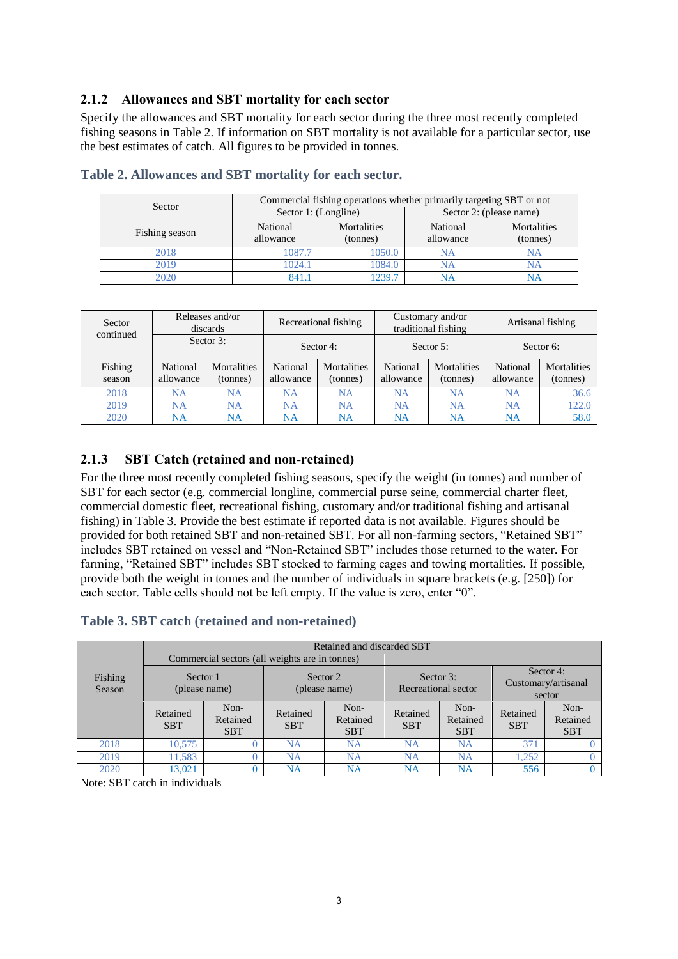#### **2.1.2 Allowances and SBT mortality for each sector**

Specify the allowances and SBT mortality for each sector during the three most recently completed fishing seasons in Table 2. If information on SBT mortality is not available for a particular sector, use the best estimates of catch. All figures to be provided in tonnes.

| Sector         | Commercial fishing operations whether primarily targeting SBT or not |                         |                         |                         |  |  |
|----------------|----------------------------------------------------------------------|-------------------------|-------------------------|-------------------------|--|--|
|                | Sector 1: (Longline)                                                 |                         | Sector 2: (please name) |                         |  |  |
| Fishing season | National<br>allowance                                                | Mortalities<br>(tonnes) | National<br>allowance   | Mortalities<br>(tonnes) |  |  |
| 2018           | 1087.7                                                               | 1050.0                  | NΑ                      | NΑ                      |  |  |
| 2019           | 1024.1                                                               | 1084.0                  | NΑ                      | NA                      |  |  |
| 2020           | 841.1                                                                | 1239.7                  |                         |                         |  |  |

|  | Table 2. Allowances and SBT mortality for each sector. |  |  |  |  |  |  |
|--|--------------------------------------------------------|--|--|--|--|--|--|
|--|--------------------------------------------------------|--|--|--|--|--|--|

| Sector<br>continued | Releases and/or<br>discards |                                | Recreational fishing  |                                | Customary and/or<br>traditional fishing |                         | Artisanal fishing     |                         |
|---------------------|-----------------------------|--------------------------------|-----------------------|--------------------------------|-----------------------------------------|-------------------------|-----------------------|-------------------------|
|                     | Sector 3:                   |                                | Sector 4:             |                                | Sector $5$ :                            |                         | Sector 6:             |                         |
| Fishing<br>season   | National<br>allowance       | <b>Mortalities</b><br>(tonnes) | National<br>allowance | <b>Mortalities</b><br>(tonnes) | National<br>allowance                   | Mortalities<br>(tonnes) | National<br>allowance | Mortalities<br>(tonnes) |
| 2018                | NA                          | <b>NA</b>                      | <b>NA</b>             | <b>NA</b>                      | <b>NA</b>                               | <b>NA</b>               | <b>NA</b>             | 36.6                    |
| 2019                | NA                          | NA                             | <b>NA</b>             | <b>NA</b>                      | NA                                      | NA                      | <b>NA</b>             | 122.0                   |
| 2020                | NA                          | NA                             | NA                    | NA                             | NA                                      | NA                      | <b>NA</b>             | 58.0                    |

#### **2.1.3 SBT Catch (retained and non-retained)**

For the three most recently completed fishing seasons, specify the weight (in tonnes) and number of SBT for each sector (e.g. commercial longline, commercial purse seine, commercial charter fleet, commercial domestic fleet, recreational fishing, customary and/or traditional fishing and artisanal fishing) in Table 3. Provide the best estimate if reported data is not available. Figures should be provided for both retained SBT and non-retained SBT. For all non-farming sectors, "Retained SBT" includes SBT retained on vessel and "Non-Retained SBT" includes those returned to the water. For farming, "Retained SBT" includes SBT stocked to farming cages and towing mortalities. If possible, provide both the weight in tonnes and the number of individuals in square brackets (e.g. [250]) for each sector. Table cells should not be left empty. If the value is zero, enter "0".

#### **Table 3. SBT catch (retained and non-retained)**

|                   | Retained and discarded SBT |                                                |                           |                                |                                     |                                |                                            |                                |
|-------------------|----------------------------|------------------------------------------------|---------------------------|--------------------------------|-------------------------------------|--------------------------------|--------------------------------------------|--------------------------------|
|                   |                            | Commercial sectors (all weights are in tonnes) |                           |                                |                                     |                                |                                            |                                |
| Fishing<br>Season | Sector 1<br>(please name)  |                                                | Sector 2<br>(please name) |                                | Sector $3$ :<br>Recreational sector |                                | Sector 4:<br>Customary/artisanal<br>sector |                                |
|                   | Retained<br><b>SBT</b>     | Non-<br>Retained<br><b>SBT</b>                 | Retained<br><b>SBT</b>    | Non-<br>Retained<br><b>SBT</b> | Retained<br><b>SBT</b>              | Non-<br>Retained<br><b>SBT</b> | Retained<br><b>SBT</b>                     | Non-<br>Retained<br><b>SBT</b> |
| 2018              | 10.575                     |                                                | <b>NA</b>                 | NA                             | <b>NA</b>                           | <b>NA</b>                      | 371                                        |                                |
| 2019              | 11.583                     |                                                | NA                        | <b>NA</b>                      | NA                                  | NA                             | 1.252                                      |                                |
| 2020              | 13,021                     |                                                | NA                        | NΑ                             | NΑ                                  | NA                             | 556                                        |                                |

Note: SBT catch in individuals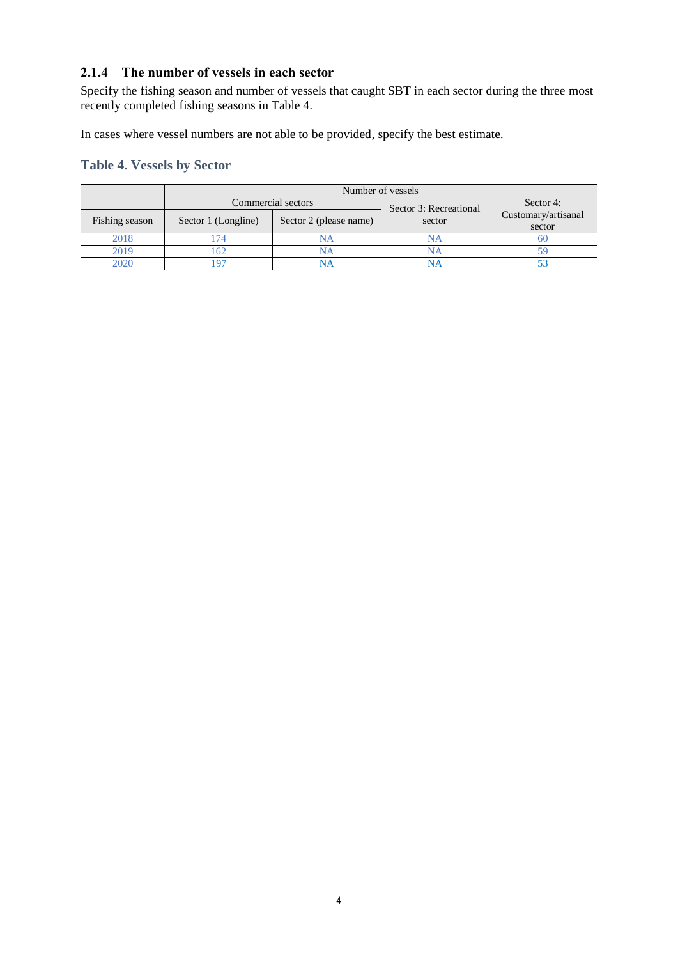#### **2.1.4 The number of vessels in each sector**

Specify the fishing season and number of vessels that caught SBT in each sector during the three most recently completed fishing seasons in Table 4.

In cases where vessel numbers are not able to be provided, specify the best estimate.

### **Table 4. Vessels by Sector**

|                | Number of vessels   |                        |                        |                               |  |
|----------------|---------------------|------------------------|------------------------|-------------------------------|--|
|                |                     | Commercial sectors     | Sector 3: Recreational | Sector 4:                     |  |
| Fishing season | Sector 1 (Longline) | Sector 2 (please name) | sector                 | Customary/artisanal<br>sector |  |
| 2018           |                     | NА                     |                        |                               |  |
| 2019           | 62                  |                        |                        |                               |  |
| 2020           |                     |                        |                        |                               |  |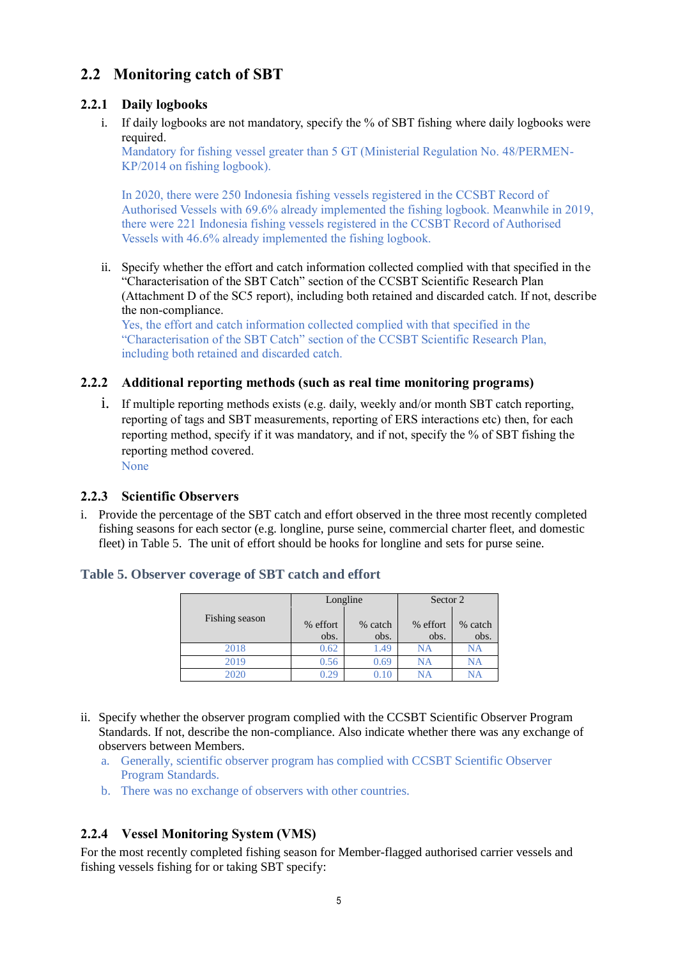# **2.2 Monitoring catch of SBT**

### **2.2.1 Daily logbooks**

i. If daily logbooks are not mandatory, specify the % of SBT fishing where daily logbooks were required.

Mandatory for fishing vessel greater than 5 GT (Ministerial Regulation No. 48/PERMEN-KP/2014 on fishing logbook).

In 2020, there were 250 Indonesia fishing vessels registered in the CCSBT Record of Authorised Vessels with 69.6% already implemented the fishing logbook. Meanwhile in 2019, there were 221 Indonesia fishing vessels registered in the CCSBT Record of Authorised Vessels with 46.6% already implemented the fishing logbook.

ii. Specify whether the effort and catch information collected complied with that specified in the "Characterisation of the SBT Catch" section of the CCSBT Scientific Research Plan (Attachment D of the SC5 report), including both retained and discarded catch. If not, describe the non-compliance.

Yes, the effort and catch information collected complied with that specified in the "Characterisation of the SBT Catch" section of the CCSBT Scientific Research Plan, including both retained and discarded catch.

#### **2.2.2 Additional reporting methods (such as real time monitoring programs)**

i. If multiple reporting methods exists (e.g. daily, weekly and/or month SBT catch reporting, reporting of tags and SBT measurements, reporting of ERS interactions etc) then, for each reporting method, specify if it was mandatory, and if not, specify the % of SBT fishing the reporting method covered.

None

#### **2.2.3 Scientific Observers**

i. Provide the percentage of the SBT catch and effort observed in the three most recently completed fishing seasons for each sector (e.g. longline, purse seine, commercial charter fleet, and domestic fleet) in Table 5. The unit of effort should be hooks for longline and sets for purse seine.

#### **Table 5. Observer coverage of SBT catch and effort**

|                | Longline |            | Sector 2 |         |  |
|----------------|----------|------------|----------|---------|--|
| Fishing season | % effort | % catch    | % effort | % catch |  |
|                | obs.     | obs.       | obs.     | obs.    |  |
| 2018           | 0.62     | 1.49       | NA       | NA      |  |
| 2019           | 0.56     | 0.69       | NA       | NA      |  |
| 2020           | ገ 29     | $\rm 0.10$ | NA       |         |  |

- ii. Specify whether the observer program complied with the CCSBT Scientific Observer Program Standards. If not, describe the non-compliance. Also indicate whether there was any exchange of observers between Members.
	- a. Generally, scientific observer program has complied with CCSBT Scientific Observer Program Standards.
	- b. There was no exchange of observers with other countries.

#### **2.2.4 Vessel Monitoring System (VMS)**

For the most recently completed fishing season for Member-flagged authorised carrier vessels and fishing vessels fishing for or taking SBT specify: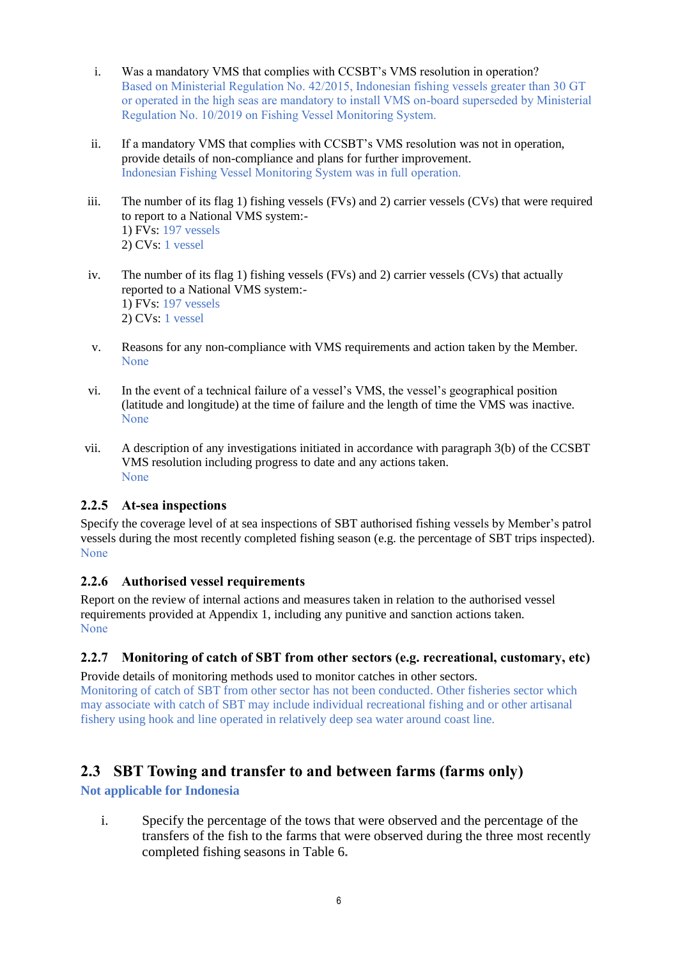- i. Was a mandatory VMS that complies with CCSBT's VMS resolution in operation? Based on Ministerial Regulation No. 42/2015, Indonesian fishing vessels greater than 30 GT or operated in the high seas are mandatory to install VMS on-board superseded by Ministerial Regulation No. 10/2019 on Fishing Vessel Monitoring System.
- ii. If a mandatory VMS that complies with CCSBT's VMS resolution was not in operation, provide details of non-compliance and plans for further improvement. Indonesian Fishing Vessel Monitoring System was in full operation.
- iii. The number of its flag 1) fishing vessels (FVs) and 2) carrier vessels (CVs) that were required to report to a National VMS system:- 1) FVs: 197 vessels 2) CVs: 1 vessel
- iv. The number of its flag 1) fishing vessels (FVs) and 2) carrier vessels (CVs) that actually reported to a National VMS system:- 1) FVs: 197 vessels 2) CVs: 1 vessel
- v. Reasons for any non-compliance with VMS requirements and action taken by the Member. None
- vi. In the event of a technical failure of a vessel's VMS, the vessel's geographical position (latitude and longitude) at the time of failure and the length of time the VMS was inactive. None
- vii. A description of any investigations initiated in accordance with paragraph 3(b) of the CCSBT VMS resolution including progress to date and any actions taken. None

#### **2.2.5 At-sea inspections**

Specify the coverage level of at sea inspections of SBT authorised fishing vessels by Member's patrol vessels during the most recently completed fishing season (e.g. the percentage of SBT trips inspected). None

#### **2.2.6 Authorised vessel requirements**

Report on the review of internal actions and measures taken in relation to the authorised vessel requirements provided at Appendix 1, including any punitive and sanction actions taken. None

#### **2.2.7 Monitoring of catch of SBT from other sectors (e.g. recreational, customary, etc)**

Provide details of monitoring methods used to monitor catches in other sectors. Monitoring of catch of SBT from other sector has not been conducted. Other fisheries sector which may associate with catch of SBT may include individual recreational fishing and or other artisanal fishery using hook and line operated in relatively deep sea water around coast line.

## **2.3 SBT Towing and transfer to and between farms (farms only)**

**Not applicable for Indonesia**

i. Specify the percentage of the tows that were observed and the percentage of the transfers of the fish to the farms that were observed during the three most recently completed fishing seasons in Table 6**.**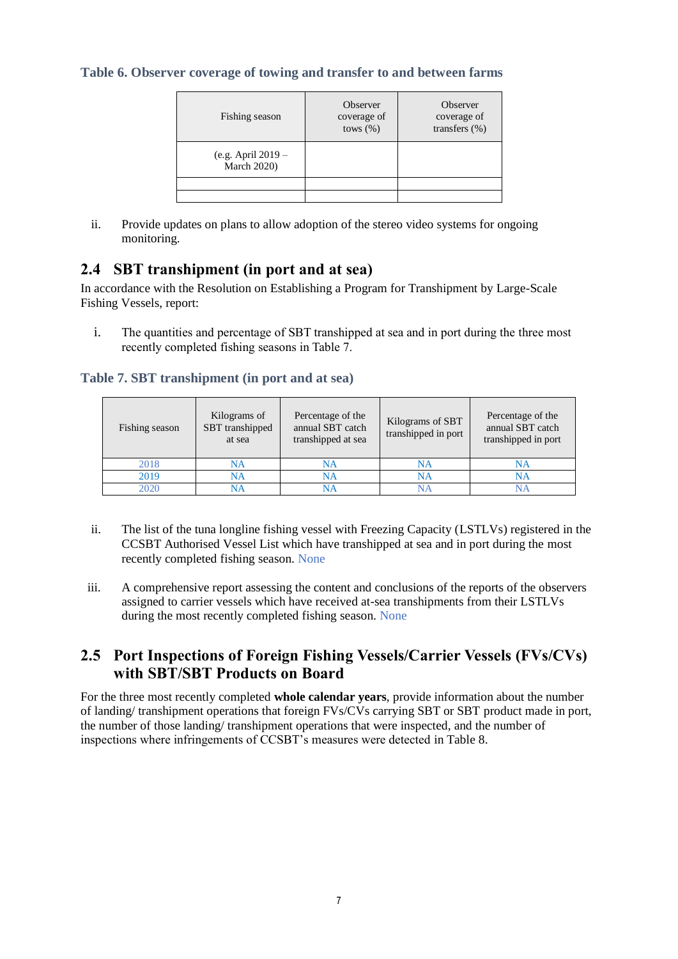#### **Table 6. Observer coverage of towing and transfer to and between farms**

| Fishing season                             | Observer<br>coverage of<br>tows $(\% )$ | Observer<br>coverage of<br>transfers $(\%)$ |
|--------------------------------------------|-----------------------------------------|---------------------------------------------|
| (e.g. April $2019 -$<br><b>March 2020)</b> |                                         |                                             |
|                                            |                                         |                                             |
|                                            |                                         |                                             |

ii. Provide updates on plans to allow adoption of the stereo video systems for ongoing monitoring.

### **2.4 SBT transhipment (in port and at sea)**

In accordance with the Resolution on Establishing a Program for Transhipment by Large-Scale Fishing Vessels, report:

i. The quantities and percentage of SBT transhipped at sea and in port during the three most recently completed fishing seasons in Table 7.

#### **Table 7. SBT transhipment (in port and at sea)**

| Fishing season | Kilograms of<br>SBT transhipped<br>at sea | Percentage of the<br>annual SBT catch<br>transhipped at sea | Kilograms of SBT<br>transhipped in port | Percentage of the<br>annual SBT catch<br>transhipped in port |
|----------------|-------------------------------------------|-------------------------------------------------------------|-----------------------------------------|--------------------------------------------------------------|
| 2018           | NA                                        | NA                                                          | NA                                      | NA                                                           |
| 2019           | NA                                        | NA                                                          | NA                                      | NA                                                           |
| 2020           | NА                                        | NΑ                                                          |                                         | NΑ                                                           |

- ii. The list of the tuna longline fishing vessel with Freezing Capacity (LSTLVs) registered in the CCSBT Authorised Vessel List which have transhipped at sea and in port during the most recently completed fishing season. None
- iii. A comprehensive report assessing the content and conclusions of the reports of the observers assigned to carrier vessels which have received at-sea transhipments from their LSTLVs during the most recently completed fishing season. None

### **2.5 Port Inspections of Foreign Fishing Vessels/Carrier Vessels (FVs/CVs) with SBT/SBT Products on Board**

For the three most recently completed **whole calendar years**, provide information about the number of landing/ transhipment operations that foreign FVs/CVs carrying SBT or SBT product made in port, the number of those landing/ transhipment operations that were inspected, and the number of inspections where infringements of CCSBT's measures were detected in Table 8.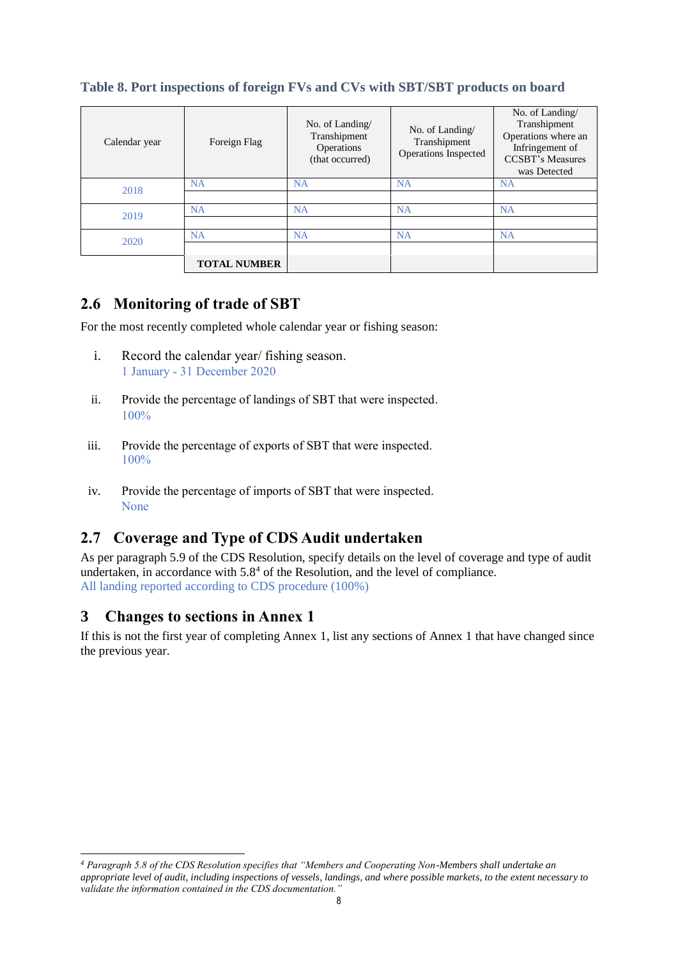| Calendar year | Foreign Flag        | No. of Landing/<br>Transhipment<br>Operations<br>(that occurred) | No. of Landing $\sqrt{ }$<br>Transhipment<br>Operations Inspected | No. of Landing/<br>Transhipment<br>Operations where an<br>Infringement of<br><b>CCSBT's Measures</b><br>was Detected |
|---------------|---------------------|------------------------------------------------------------------|-------------------------------------------------------------------|----------------------------------------------------------------------------------------------------------------------|
| 2018          | <b>NA</b>           | <b>NA</b>                                                        | <b>NA</b>                                                         | <b>NA</b>                                                                                                            |
|               |                     |                                                                  |                                                                   |                                                                                                                      |
| 2019          | <b>NA</b>           | NA                                                               | <b>NA</b>                                                         | NA                                                                                                                   |
|               |                     |                                                                  |                                                                   |                                                                                                                      |
| 2020          | NA                  | <b>NA</b>                                                        | <b>NA</b>                                                         | NA                                                                                                                   |
|               |                     |                                                                  |                                                                   |                                                                                                                      |
|               | <b>TOTAL NUMBER</b> |                                                                  |                                                                   |                                                                                                                      |

### **Table 8. Port inspections of foreign FVs and CVs with SBT/SBT products on board**

## **2.6 Monitoring of trade of SBT**

For the most recently completed whole calendar year or fishing season:

- i. Record the calendar year/ fishing season. 1 January - 31 December 2020
- ii. Provide the percentage of landings of SBT that were inspected. 100%
- iii. Provide the percentage of exports of SBT that were inspected. 100%
- iv. Provide the percentage of imports of SBT that were inspected. None

# **2.7 Coverage and Type of CDS Audit undertaken**

As per paragraph 5.9 of the CDS Resolution, specify details on the level of coverage and type of audit undertaken, in accordance with  $5.8<sup>4</sup>$  of the Resolution, and the level of compliance. All landing reported according to CDS procedure (100%)

# **3 Changes to sections in Annex 1**

If this is not the first year of completing Annex 1, list any sections of Annex 1 that have changed since the previous year.

*<sup>4</sup> Paragraph 5.8 of the CDS Resolution specifies that "Members and Cooperating Non-Members shall undertake an appropriate level of audit, including inspections of vessels, landings, and where possible markets, to the extent necessary to validate the information contained in the CDS documentation."*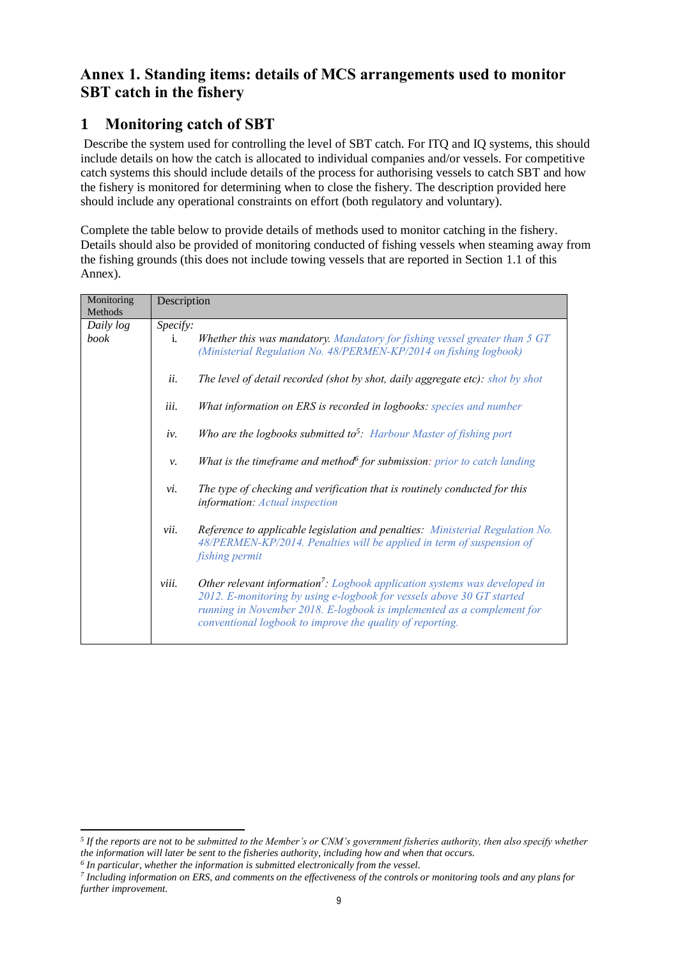# **Annex 1. Standing items: details of MCS arrangements used to monitor SBT catch in the fishery**

# **1 Monitoring catch of SBT**

Describe the system used for controlling the level of SBT catch. For ITQ and IQ systems, this should include details on how the catch is allocated to individual companies and/or vessels. For competitive catch systems this should include details of the process for authorising vessels to catch SBT and how the fishery is monitored for determining when to close the fishery. The description provided here should include any operational constraints on effort (both regulatory and voluntary).

Complete the table below to provide details of methods used to monitor catching in the fishery. Details should also be provided of monitoring conducted of fishing vessels when steaming away from the fishing grounds (this does not include towing vessels that are reported in Section 1.1 of this Annex).

| Monitoring<br>Methods | Description                                                                                                                                                                                                                                                                                                          |
|-----------------------|----------------------------------------------------------------------------------------------------------------------------------------------------------------------------------------------------------------------------------------------------------------------------------------------------------------------|
| Daily log             | Specify:                                                                                                                                                                                                                                                                                                             |
| book                  | Whether this was mandatory. Mandatory for fishing vessel greater than 5 GT<br>i.<br>(Ministerial Regulation No. 48/PERMEN-KP/2014 on fishing logbook)                                                                                                                                                                |
|                       | ii.<br>The level of detail recorded (shot by shot, daily aggregate etc): shot by shot                                                                                                                                                                                                                                |
|                       | iii.<br>What information on ERS is recorded in logbooks: species and number                                                                                                                                                                                                                                          |
|                       | Who are the logbooks submitted to <sup>5</sup> : Harbour Master of fishing port<br>iv.                                                                                                                                                                                                                               |
|                       | What is the timeframe and method for submission: prior to catch landing<br>ν.                                                                                                                                                                                                                                        |
|                       | The type of checking and verification that is routinely conducted for this<br>vi.<br>information: Actual inspection                                                                                                                                                                                                  |
|                       | Reference to applicable legislation and penalties: Ministerial Regulation No.<br>vii.<br>48/PERMEN-KP/2014. Penalties will be applied in term of suspension of<br>fishing permit                                                                                                                                     |
|                       | <b>Other relevant information<sup>7</sup>:</b> Logbook application systems was developed in<br>viii.<br>2012. E-monitoring by using e-logbook for vessels above 30 GT started<br>running in November 2018. E-logbook is implemented as a complement for<br>conventional logbook to improve the quality of reporting. |

 *5 If the reports are not to be submitted to the Member's or CNM's government fisheries authority, then also specify whether the information will later be sent to the fisheries authority, including how and when that occurs.*

*<sup>6</sup> In particular, whether the information is submitted electronically from the vessel.*

*<sup>7</sup> Including information on ERS, and comments on the effectiveness of the controls or monitoring tools and any plans for further improvement.*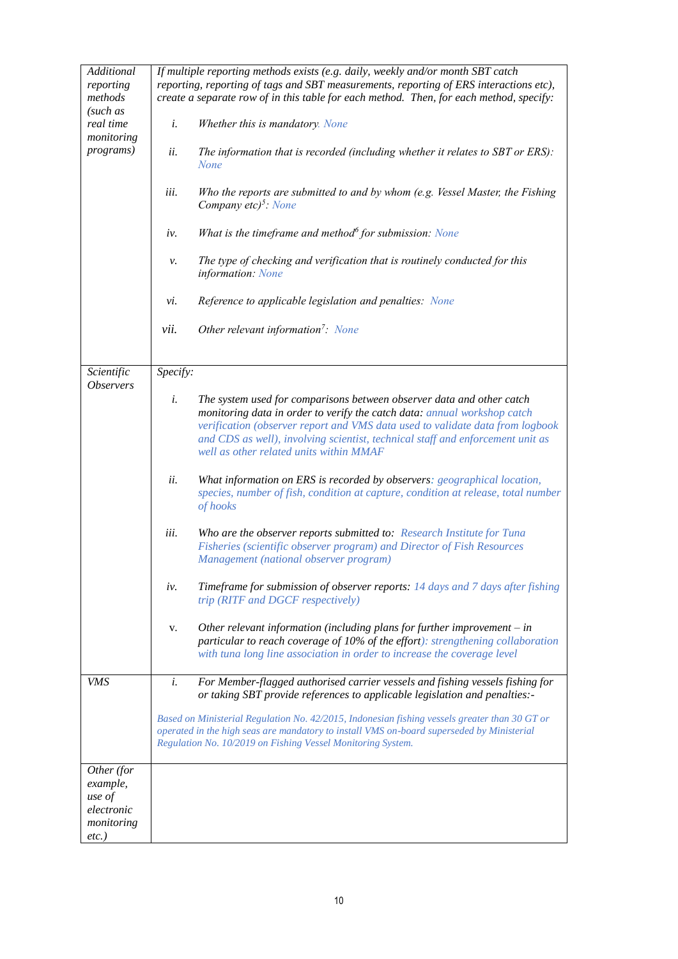| Additional<br>reporting<br>methods<br>(such as<br>real time<br>monitoring<br><i>programs</i> ) | If multiple reporting methods exists (e.g. daily, weekly and/or month SBT catch<br>reporting, reporting of tags and SBT measurements, reporting of ERS interactions etc),<br>create a separate row of in this table for each method. Then, for each method, specify:<br>Whether this is mandatory. None<br>i.<br>ii.<br>The information that is recorded (including whether it relates to SBT or ERS):<br><b>None</b><br>iii.<br>Who the reports are submitted to and by whom (e.g. Vessel Master, the Fishing<br>Company etc) <sup>5</sup> : None<br>What is the timeframe and method $\delta$ for submission: None<br>iv.<br>The type of checking and verification that is routinely conducted for this<br>ν.<br>information: None<br>Reference to applicable legislation and penalties: None<br>vi.<br>Other relevant information <sup>7</sup> : None<br>vii.                                                                                                                                                                                                                                                                                |
|------------------------------------------------------------------------------------------------|-------------------------------------------------------------------------------------------------------------------------------------------------------------------------------------------------------------------------------------------------------------------------------------------------------------------------------------------------------------------------------------------------------------------------------------------------------------------------------------------------------------------------------------------------------------------------------------------------------------------------------------------------------------------------------------------------------------------------------------------------------------------------------------------------------------------------------------------------------------------------------------------------------------------------------------------------------------------------------------------------------------------------------------------------------------------------------------------------------------------------------------------------|
| Scientific                                                                                     | Specify:                                                                                                                                                                                                                                                                                                                                                                                                                                                                                                                                                                                                                                                                                                                                                                                                                                                                                                                                                                                                                                                                                                                                        |
| <i><b>Observers</b></i>                                                                        | i.<br>The system used for comparisons between observer data and other catch<br>monitoring data in order to verify the catch data: annual workshop catch<br>verification (observer report and VMS data used to validate data from logbook<br>and CDS as well), involving scientist, technical staff and enforcement unit as<br>well as other related units within MMAF<br>ii.<br>What information on ERS is recorded by observers: geographical location,<br>species, number of fish, condition at capture, condition at release, total number<br>of hooks<br>iii.<br>Who are the observer reports submitted to: Research Institute for Tuna<br>Fisheries (scientific observer program) and Director of Fish Resources<br>Management (national observer program)<br>Timeframe for submission of observer reports: 14 days and 7 days after fishing<br>iv.<br>trip (RITF and DGCF respectively)<br>Other relevant information (including plans for further improvement $-$ in<br>v.<br>particular to reach coverage of 10% of the effort): strengthening collaboration<br>with tuna long line association in order to increase the coverage level |
| VMS                                                                                            | i.<br>For Member-flagged authorised carrier vessels and fishing vessels fishing for<br>or taking SBT provide references to applicable legislation and penalties:-                                                                                                                                                                                                                                                                                                                                                                                                                                                                                                                                                                                                                                                                                                                                                                                                                                                                                                                                                                               |
|                                                                                                | Based on Ministerial Regulation No. 42/2015, Indonesian fishing vessels greater than 30 GT or<br>operated in the high seas are mandatory to install VMS on-board superseded by Ministerial<br>Regulation No. 10/2019 on Fishing Vessel Monitoring System.                                                                                                                                                                                                                                                                                                                                                                                                                                                                                                                                                                                                                                                                                                                                                                                                                                                                                       |
| Other (for                                                                                     |                                                                                                                                                                                                                                                                                                                                                                                                                                                                                                                                                                                                                                                                                                                                                                                                                                                                                                                                                                                                                                                                                                                                                 |
| example,<br>use of                                                                             |                                                                                                                                                                                                                                                                                                                                                                                                                                                                                                                                                                                                                                                                                                                                                                                                                                                                                                                                                                                                                                                                                                                                                 |
| electronic<br>monitoring                                                                       |                                                                                                                                                                                                                                                                                                                                                                                                                                                                                                                                                                                                                                                                                                                                                                                                                                                                                                                                                                                                                                                                                                                                                 |
| $etc.$ )                                                                                       |                                                                                                                                                                                                                                                                                                                                                                                                                                                                                                                                                                                                                                                                                                                                                                                                                                                                                                                                                                                                                                                                                                                                                 |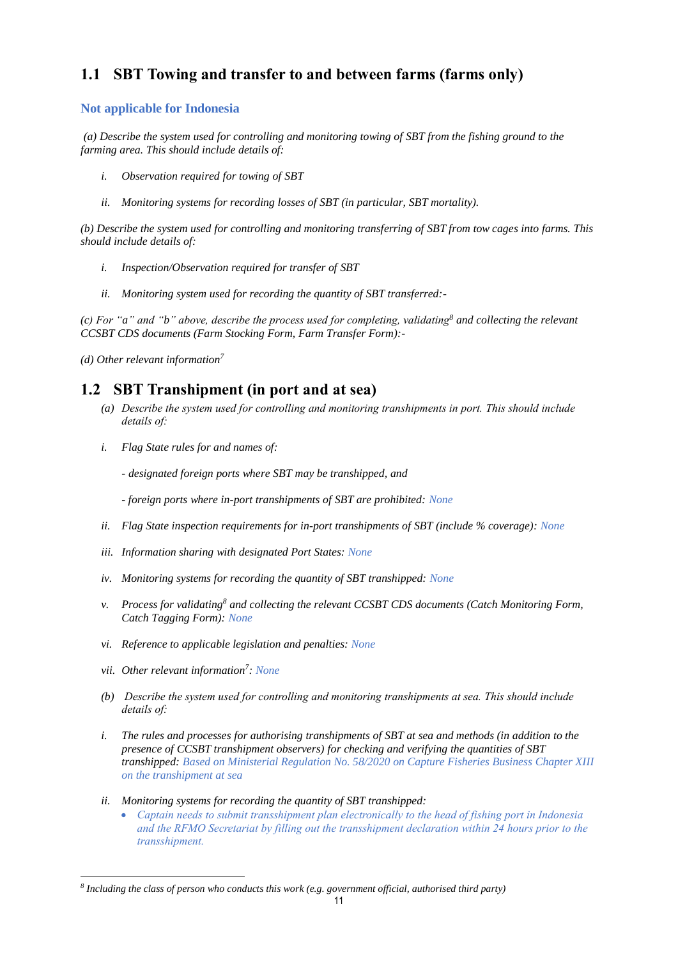# **1.1 SBT Towing and transfer to and between farms (farms only)**

#### **Not applicable for Indonesia**

*(a) Describe the system used for controlling and monitoring towing of SBT from the fishing ground to the farming area. This should include details of:*

- *i. Observation required for towing of SBT*
- *ii. Monitoring systems for recording losses of SBT (in particular, SBT mortality).*

*(b) Describe the system used for controlling and monitoring transferring of SBT from tow cages into farms. This should include details of:*

- *i. Inspection/Observation required for transfer of SBT*
- *ii. Monitoring system used for recording the quantity of SBT transferred:-*

*(c) For "a" and "b" above, describe the process used for completing, validating<sup>8</sup> and collecting the relevant CCSBT CDS documents (Farm Stocking Form, Farm Transfer Form):-*

*(d) Other relevant information<sup>7</sup>*

## **1.2 SBT Transhipment (in port and at sea)**

- *(a) Describe the system used for controlling and monitoring transhipments in port. This should include details of:*
- *i. Flag State rules for and names of:*

*- designated foreign ports where SBT may be transhipped, and* 

*- foreign ports where in-port transhipments of SBT are prohibited: None*

- *ii. Flag State inspection requirements for in-port transhipments of SBT (include % coverage): None*
- *iii. Information sharing with designated Port States: None*
- *iv. Monitoring systems for recording the quantity of SBT transhipped: None*
- *v. Process for validating<sup>8</sup> and collecting the relevant CCSBT CDS documents (Catch Monitoring Form, Catch Tagging Form): None*
- *vi. Reference to applicable legislation and penalties: None*
- *vii. Other relevant information<sup>7</sup> : None*

- *(b) Describe the system used for controlling and monitoring transhipments at sea. This should include details of:*
- *i. The rules and processes for authorising transhipments of SBT at sea and methods (in addition to the presence of CCSBT transhipment observers) for checking and verifying the quantities of SBT transhipped: Based on Ministerial Regulation No. 58/2020 on Capture Fisheries Business Chapter XIII on the transhipment at sea*
- *ii. Monitoring systems for recording the quantity of SBT transhipped:*
	- *Captain needs to submit transshipment plan electronically to the head of fishing port in Indonesia and the RFMO Secretariat by filling out the transshipment declaration within 24 hours prior to the transshipment.*

*<sup>8</sup> Including the class of person who conducts this work (e.g. government official, authorised third party)*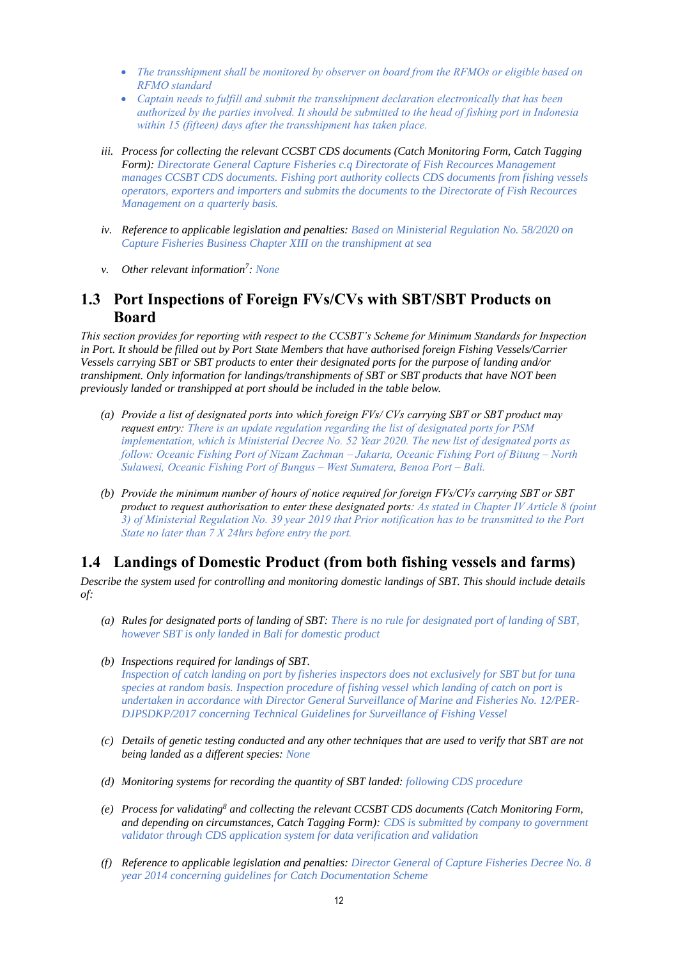- *The transshipment shall be monitored by observer on board from the RFMOs or eligible based on RFMO standard*
- *Captain needs to fulfill and submit the transshipment declaration electronically that has been authorized by the parties involved. It should be submitted to the head of fishing port in Indonesia within 15 (fifteen) days after the transshipment has taken place.*
- *iii. Process for collecting the relevant CCSBT CDS documents (Catch Monitoring Form, Catch Tagging Form): Directorate General Capture Fisheries c.q Directorate of Fish Recources Management manages CCSBT CDS documents. Fishing port authority collects CDS documents from fishing vessels operators, exporters and importers and submits the documents to the Directorate of Fish Recources Management on a quarterly basis.*
- *iv. Reference to applicable legislation and penalties: Based on Ministerial Regulation No. 58/2020 on Capture Fisheries Business Chapter XIII on the transhipment at sea*
- *v. Other relevant information<sup>7</sup> : None*

### **1.3 Port Inspections of Foreign FVs/CVs with SBT/SBT Products on Board**

*This section provides for reporting with respect to the CCSBT's Scheme for Minimum Standards for Inspection in Port. It should be filled out by Port State Members that have authorised foreign Fishing Vessels/Carrier Vessels carrying SBT or SBT products to enter their designated ports for the purpose of landing and/or transhipment. Only information for landings/transhipments of SBT or SBT products that have NOT been previously landed or transhipped at port should be included in the table below.*

- *(a) Provide a list of designated ports into which foreign FVs/ CVs carrying SBT or SBT product may request entry: There is an update regulation regarding the list of designated ports for PSM implementation, which is Ministerial Decree No. 52 Year 2020. The new list of designated ports as follow: Oceanic Fishing Port of Nizam Zachman – Jakarta, Oceanic Fishing Port of Bitung – North Sulawesi, Oceanic Fishing Port of Bungus – West Sumatera, Benoa Port – Bali.*
- *(b) Provide the minimum number of hours of notice required for foreign FVs/CVs carrying SBT or SBT product to request authorisation to enter these designated ports: As stated in Chapter IV Article 8 (point 3) of Ministerial Regulation No. 39 year 2019 that Prior notification has to be transmitted to the Port State no later than 7 X 24hrs before entry the port.*

### **1.4 Landings of Domestic Product (from both fishing vessels and farms)**

*Describe the system used for controlling and monitoring domestic landings of SBT. This should include details of:*

- *(a) Rules for designated ports of landing of SBT: There is no rule for designated port of landing of SBT, however SBT is only landed in Bali for domestic product*
- *(b) Inspections required for landings of SBT. Inspection of catch landing on port by fisheries inspectors does not exclusively for SBT but for tuna species at random basis. Inspection procedure of fishing vessel which landing of catch on port is undertaken in accordance with Director General Surveillance of Marine and Fisheries No. 12/PER-DJPSDKP/2017 concerning Technical Guidelines for Surveillance of Fishing Vessel*
- *(c) Details of genetic testing conducted and any other techniques that are used to verify that SBT are not being landed as a different species: None*
- *(d) Monitoring systems for recording the quantity of SBT landed: following CDS procedure*
- *(e) Process for validating<sup>8</sup> and collecting the relevant CCSBT CDS documents (Catch Monitoring Form, and depending on circumstances, Catch Tagging Form): CDS is submitted by company to government validator through CDS application system for data verification and validation*
- *(f) Reference to applicable legislation and penalties: Director General of Capture Fisheries Decree No. 8 year 2014 concerning guidelines for Catch Documentation Scheme*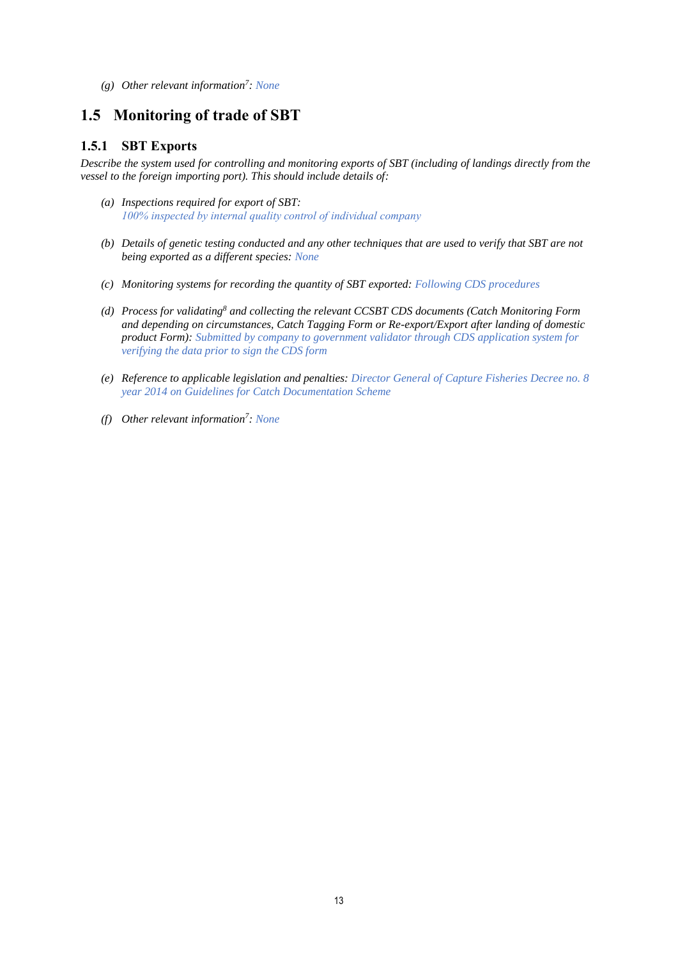*(g) Other relevant information<sup>7</sup> : None*

### **1.5 Monitoring of trade of SBT**

#### **1.5.1 SBT Exports**

*Describe the system used for controlling and monitoring exports of SBT (including of landings directly from the vessel to the foreign importing port). This should include details of:*

- *(a) Inspections required for export of SBT: 100% inspected by internal quality control of individual company*
- *(b) Details of genetic testing conducted and any other techniques that are used to verify that SBT are not being exported as a different species: None*
- *(c) Monitoring systems for recording the quantity of SBT exported: Following CDS procedures*
- *(d) Process for validating<sup>8</sup> and collecting the relevant CCSBT CDS documents (Catch Monitoring Form and depending on circumstances, Catch Tagging Form or Re-export/Export after landing of domestic product Form): Submitted by company to government validator through CDS application system for verifying the data prior to sign the CDS form*
- *(e) Reference to applicable legislation and penalties: Director General of Capture Fisheries Decree no. 8 year 2014 on Guidelines for Catch Documentation Scheme*
- *(f) Other relevant information<sup>7</sup> : None*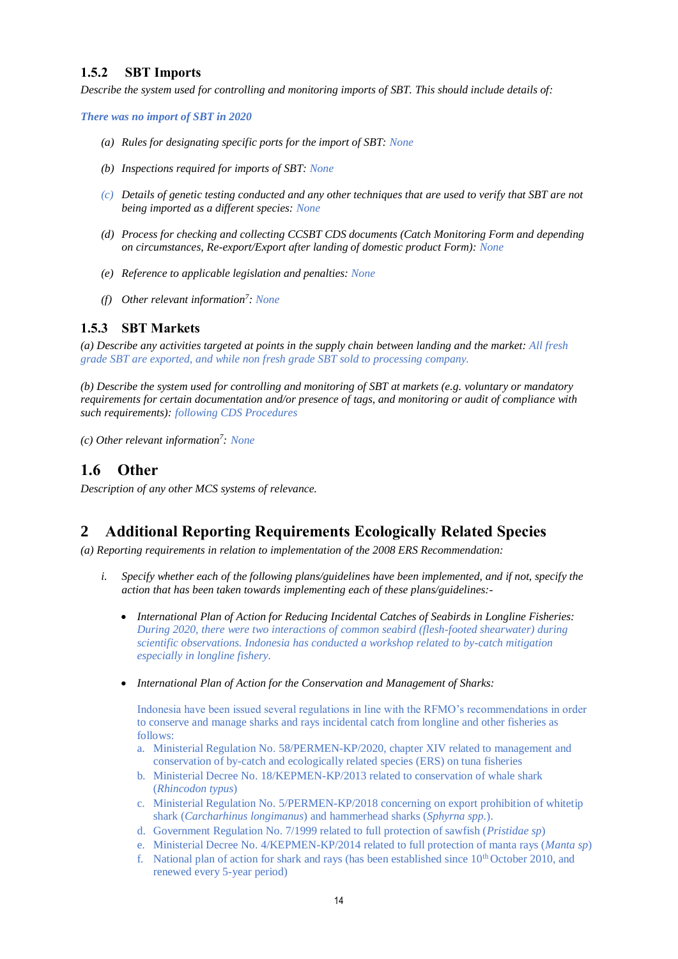#### **1.5.2 SBT Imports**

*Describe the system used for controlling and monitoring imports of SBT. This should include details of:*

*There was no import of SBT in 2020*

- *(a) Rules for designating specific ports for the import of SBT: None*
- *(b) Inspections required for imports of SBT: None*
- *(c) Details of genetic testing conducted and any other techniques that are used to verify that SBT are not being imported as a different species: None*
- *(d) Process for checking and collecting CCSBT CDS documents (Catch Monitoring Form and depending on circumstances, Re-export/Export after landing of domestic product Form): None*
- *(e) Reference to applicable legislation and penalties: None*
- *(f) Other relevant information<sup>7</sup> : None*

#### **1.5.3 SBT Markets**

*(a) Describe any activities targeted at points in the supply chain between landing and the market: All fresh grade SBT are exported, and while non fresh grade SBT sold to processing company.*

*(b) Describe the system used for controlling and monitoring of SBT at markets (e.g. voluntary or mandatory requirements for certain documentation and/or presence of tags, and monitoring or audit of compliance with such requirements): following CDS Procedures*

*(c) Other relevant information<sup>7</sup> : None*

## **1.6 Other**

*Description of any other MCS systems of relevance.*

## **2 Additional Reporting Requirements Ecologically Related Species**

*(a) Reporting requirements in relation to implementation of the 2008 ERS Recommendation:*

- *i. Specify whether each of the following plans/guidelines have been implemented, and if not, specify the action that has been taken towards implementing each of these plans/guidelines:-*
	- *International Plan of Action for Reducing Incidental Catches of Seabirds in Longline Fisheries: During 2020, there were two interactions of common seabird (flesh-footed shearwater) during scientific observations. Indonesia has conducted a workshop related to by-catch mitigation especially in longline fishery.*
	- *International Plan of Action for the Conservation and Management of Sharks:*

Indonesia have been issued several regulations in line with the RFMO's recommendations in order to conserve and manage sharks and rays incidental catch from longline and other fisheries as follows:

- a. Ministerial Regulation No. 58/PERMEN-KP/2020, chapter XIV related to management and conservation of by-catch and ecologically related species (ERS) on tuna fisheries
- b. Ministerial Decree No. 18/KEPMEN-KP/2013 related to conservation of whale shark (*Rhincodon typus*)
- c. Ministerial Regulation No. 5/PERMEN-KP/2018 concerning on export prohibition of whitetip shark (*Carcharhinus longimanus*) and hammerhead sharks (*Sphyrna spp.*).
- d. Government Regulation No. 7/1999 related to full protection of sawfish (*Pristidae sp*)
- e. Ministerial Decree No. 4/KEPMEN-KP/2014 related to full protection of manta rays (*Manta sp*)
- f. National plan of action for shark and rays (has been established since  $10<sup>th</sup>$  October 2010, and renewed every 5-year period)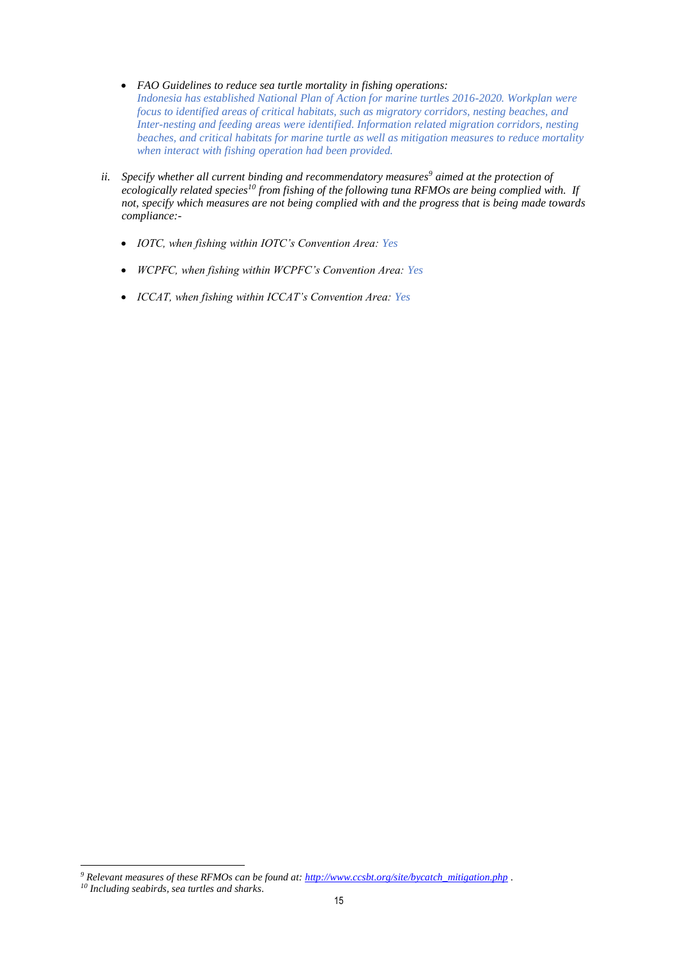- *FAO Guidelines to reduce sea turtle mortality in fishing operations: Indonesia has established National Plan of Action for marine turtles 2016-2020. Workplan were focus to identified areas of critical habitats, such as migratory corridors, nesting beaches, and Inter-nesting and feeding areas were identified. Information related migration corridors, nesting beaches, and critical habitats for marine turtle as well as mitigation measures to reduce mortality when interact with fishing operation had been provided.*
- *ii. Specify whether all current binding and recommendatory measures<sup>9</sup> aimed at the protection of ecologically related species<sup>10</sup> from fishing of the following tuna RFMOs are being complied with. If not, specify which measures are not being complied with and the progress that is being made towards compliance:-*
	- *IOTC, when fishing within IOTC's Convention Area: Yes*
	- *WCPFC, when fishing within WCPFC's Convention Area: Yes*
	- *ICCAT, when fishing within ICCAT's Convention Area: Yes*

*<sup>9</sup> Relevant measures of these RFMOs can be found at: [http://www.ccsbt.org/site/bycatch\\_mitigation.php](http://www.ccsbt.org/site/bycatch_mitigation.php) .*

*<sup>10</sup> Including seabirds, sea turtles and sharks.*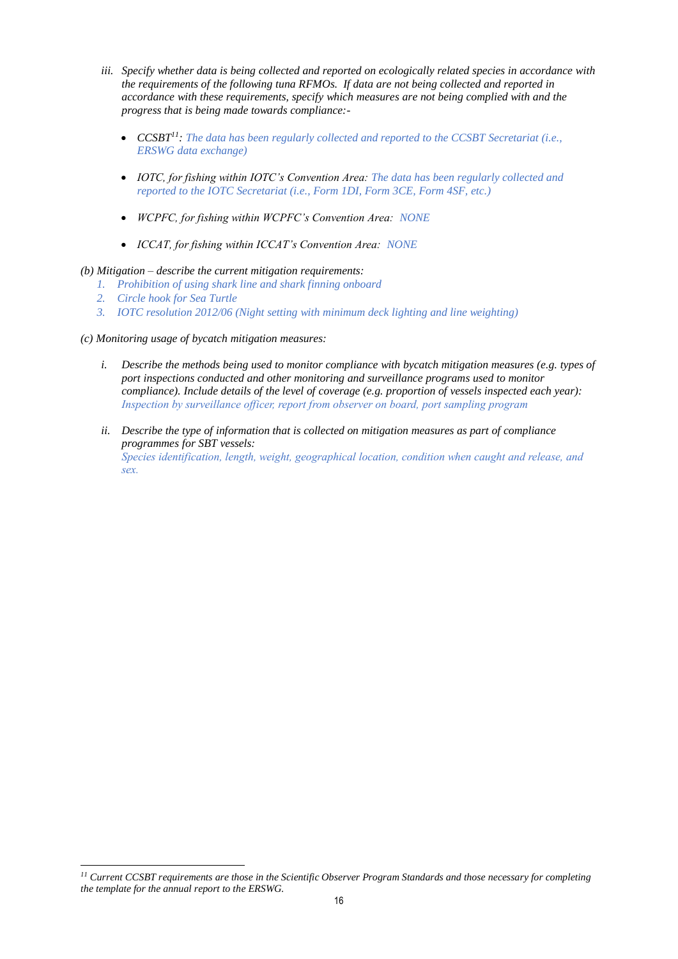- *iii. Specify whether data is being collected and reported on ecologically related species in accordance with the requirements of the following tuna RFMOs. If data are not being collected and reported in accordance with these requirements, specify which measures are not being complied with and the progress that is being made towards compliance:-*
	- *CCSBT<sup>11</sup>: The data has been regularly collected and reported to the CCSBT Secretariat (i.e., ERSWG data exchange)*
	- *IOTC, for fishing within IOTC's Convention Area: The data has been regularly collected and reported to the IOTC Secretariat (i.e., Form 1DI, Form 3CE, Form 4SF, etc.)*
	- *WCPFC, for fishing within WCPFC's Convention Area: NONE*
	- *ICCAT, for fishing within ICCAT's Convention Area: NONE*

#### *(b) Mitigation – describe the current mitigation requirements:*

- *1. Prohibition of using shark line and shark finning onboard*
- *2. Circle hook for Sea Turtle*

*3. IOTC resolution 2012/06 (Night setting with minimum deck lighting and line weighting)* 

#### *(c) Monitoring usage of bycatch mitigation measures:*

- *i. Describe the methods being used to monitor compliance with bycatch mitigation measures (e.g. types of port inspections conducted and other monitoring and surveillance programs used to monitor compliance). Include details of the level of coverage (e.g. proportion of vessels inspected each year): Inspection by surveillance officer, report from observer on board, port sampling program*
- *ii. Describe the type of information that is collected on mitigation measures as part of compliance programmes for SBT vessels:*

*Species identification, length, weight, geographical location, condition when caught and release, and sex.*

*<sup>11</sup> Current CCSBT requirements are those in the Scientific Observer Program Standards and those necessary for completing the template for the annual report to the ERSWG.*